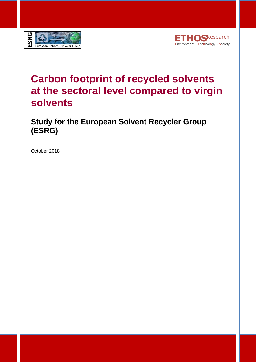



### **Carbon footprint of recycled solvents at the sectoral level compared to virgin solvents**

**Study for the European Solvent Recycler Group (ESRG)**

October 2018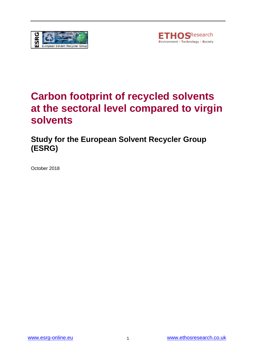



### **Carbon footprint of recycled solvents at the sectoral level compared to virgin solvents**

**Study for the European Solvent Recycler Group (ESRG)**

October 2018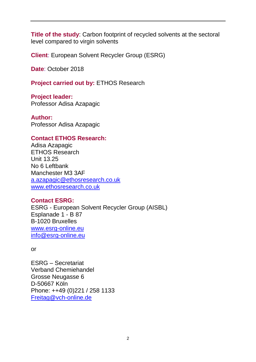**Title of the study**: Carbon footprint of recycled solvents at the sectoral level compared to virgin solvents

**Client**: European Solvent Recycler Group (ESRG)

**Date**: October 2018

**Project carried out by:** ETHOS Research

**Project leader:** Professor Adisa Azapagic

**Author:** Professor Adisa Azapagic

#### **Contact ETHOS Research:**

Adisa Azapagic ETHOS Research Unit 13.25 No 6 Leftbank Manchester M3 3AF [a.azapagic@ethosresearch.co.uk](mailto:a.azapagic@ethosresearch.co.uk) [www.ethosresearch.co.uk](http://www.ethosresearch.co.uk/)

#### **Contact ESRG:**

ESRG - European Solvent Recycler Group (AISBL) Esplanade 1 - B 87 B-1020 Bruxelles [www.esrg-online.eu](http://www.esrg-online.eu/) [info@esrg-online.eu](mailto:info@esrg-online.eu)

or

ESRG – Secretariat Verband Chemiehandel Grosse Neugasse 6 D-50667 Köln Phone: ++49 (0)221 / 258 1133 [Freitag@vch-online.de](mailto:Freitag@vch-online.de)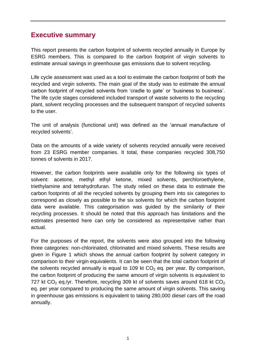#### **Executive summary**

This report presents the carbon footprint of solvents recycled annually in Europe by ESRG members. This is compared to the carbon footprint of virgin solvents to estimate annual savings in greenhouse gas emissions due to solvent recycling.

Life cycle assessment was used as a tool to estimate the carbon footprint of both the recycled and virgin solvents. The main goal of the study was to estimate the annual carbon footprint of recycled solvents from 'cradle to gate' or 'business to business'. The life cycle stages considered included transport of waste solvents to the recycling plant, solvent recycling processes and the subsequent transport of recycled solvents to the user.

The unit of analysis (functional unit) was defined as the 'annual manufacture of recycled solvents'.

Data on the amounts of a wide variety of solvents recycled annually were received from 23 ESRG member companies. It total, these companies recycled 308,750 tonnes of solvents in 2017.

However, the carbon footprints were available only for the following six types of solvent: acetone, methyl ethyl ketone, mixed solvents, perchloroethylene, triethylamine and tetrahydrofuran. The study relied on these data to estimate the carbon footprints of all the recycled solvents by grouping them into six categories to correspond as closely as possible to the six solvents for which the carbon footprint data were available. This categorisation was guided by the similarity of their recycling processes. It should be noted that this approach has limitations and the estimates presented here can only be considered as representative rather than actual.

For the purposes of the report, the solvents were also grouped into the following three categories: non-chlorinated, chlorinated and mixed solvents. These results are given in Figure 1 which shows the annual carbon footprint by solvent category in comparison to their virgin equivalents. It can be seen that the total carbon footprint of the solvents recycled annually is equal to 109 kt  $CO<sub>2</sub>$  eq. per year. By comparison, the carbon footprint of producing the same amount of virgin solvents is equivalent to 727 kt  $CO<sub>2</sub>$  eq./yr. Therefore, recycling 309 kt of solvents saves around 618 kt  $CO<sub>2</sub>$ eq. per year compared to producing the same amount of virgin solvents. This saving in greenhouse gas emissions is equivalent to taking 280,000 diesel cars off the road annually.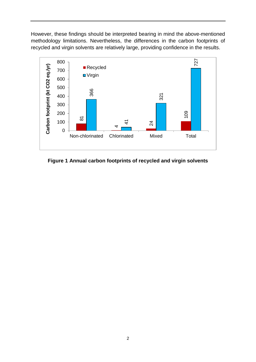However, these findings should be interpreted bearing in mind the above-mentioned methodology limitations. Nevertheless, the differences in the carbon footprints of recycled and virgin solvents are relatively large, providing confidence in the results.



**Figure 1 Annual carbon footprints of recycled and virgin solvents**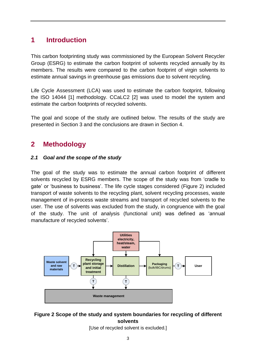### **1 Introduction**

This carbon footprinting study was commissioned by the European Solvent Recycler Group (ESRG) to estimate the carbon footprint of solvents recycled annually by its members. The results were compared to the carbon footprint of virgin solvents to estimate annual savings in greenhouse gas emissions due to solvent recycling.

Life Cycle Assessment (LCA) was used to estimate the carbon footprint, following the ISO 14044 [1] methodology. CCaLC2 [2] was used to model the system and estimate the carbon footprints of recycled solvents.

The goal and scope of the study are outlined below. The results of the study are presented in Section 3 and the conclusions are drawn in Section 4.

### **2 Methodology**

#### *2.1 Goal and the scope of the study*

The goal of the study was to estimate the annual carbon footprint of different solvents recycled by ESRG members. The scope of the study was from 'cradle to gate' or 'business to business'. The life cycle stages considered (Figure 2) included transport of waste solvents to the recycling plant, solvent recycling processes, waste management of in-process waste streams and transport of recycled solvents to the user. The use of solvents was excluded from the study, in congruence with the goal of the study. The unit of analysis (functional unit) was defined as 'annual manufacture of recycled solvents'.



#### **Figure 2 Scope of the study and system boundaries for recycling of different solvents**

[Use of recycled solvent is excluded.]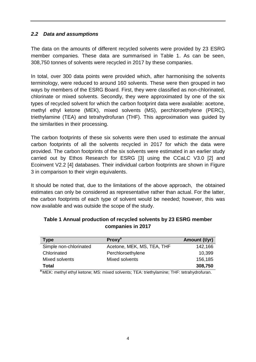#### *2.2 Data and assumptions*

The data on the amounts of different recycled solvents were provided by 23 ESRG member companies. These data are summarised in Table 1. As can be seen, 308,750 tonnes of solvents were recycled in 2017 by these companies.

In total, over 300 data points were provided which, after harmonising the solvents terminology, were reduced to around 160 solvents. These were then grouped in two ways by members of the ESRG Board. First, they were classified as non-chlorinated, chlorinate or mixed solvents. Secondly, they were approximated by one of the six types of recycled solvent for which the carbon footprint data were available: acetone, methyl ethyl ketone (MEK), mixed solvents (MS), perchloroethylene (PERC), triethylamine (TEA) and tetrahydrofuran (THF). This approximation was guided by the similarities in their processing.

The carbon footprints of these six solvents were then used to estimate the annual carbon footprints of all the solvents recycled in 2017 for which the data were provided. The carbon footprints of the six solvents were estimated in an earlier study carried out by Ethos Research for ESRG [3] using the CCaLC V3.0 [2] and Ecoinvent V2.2 [4] databases. Their individual carbon footprints are shown in Figure 3 in comparison to their virgin equivalents.

It should be noted that, due to the limitations of the above approach, the obtained estimates can only be considered as representative rather than actual. For the latter, the carbon footprints of each type of solvent would be needed; however, this was now available and was outside the scope of the study.

| Type                   | Proxy <sup>a</sup>                                                                                                                                                    | Amount (t/yr) |
|------------------------|-----------------------------------------------------------------------------------------------------------------------------------------------------------------------|---------------|
| Simple non-chlorinated | Acetone, MEK, MS, TEA, THF                                                                                                                                            | 142,166       |
| Chlorinated            | Perchloroethylene                                                                                                                                                     | 10,399        |
| Mixed solvents         | Mixed solvents                                                                                                                                                        | 156,185       |
| Total                  | $\mathbf{a}$ and $\mathbf{a}$ and $\mathbf{a}$ and $\mathbf{a}$ and $\mathbf{a}$ and $\mathbf{a}$ and $\mathbf{a}$ and $\mathbf{a}$ and $\mathbf{a}$ and $\mathbf{a}$ | 308,750       |

#### **Table 1 Annual production of recycled solvents by 23 ESRG member companies in 2017**

**<sup>a</sup>**MEK: methyl ethyl ketone; MS: mixed solvents; TEA: triethylamine; THF: tetrahydrofuran.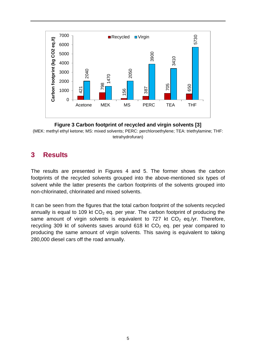

**Figure 3 Carbon footprint of recycled and virgin solvents [3]**

(MEK: methyl ethyl ketone; MS: mixed solvents; PERC: perchloroethylene; TEA: triethylamine; THF: tetrahydrofuran)

### **3 Results**

The results are presented in Figures 4 and 5. The former shows the carbon footprints of the recycled solvents grouped into the above-mentioned six types of solvent while the latter presents the carbon footprints of the solvents grouped into non-chlorinated, chlorinated and mixed solvents.

It can be seen from the figures that the total carbon footprint of the solvents recycled annually is equal to 109 kt  $CO<sub>2</sub>$  eq. per year. The carbon footprint of producing the same amount of virgin solvents is equivalent to 727 kt  $CO<sub>2</sub>$  eq./yr. Therefore, recycling 309 kt of solvents saves around 618 kt  $CO<sub>2</sub>$  eq. per year compared to producing the same amount of virgin solvents. This saving is equivalent to taking 280,000 diesel cars off the road annually.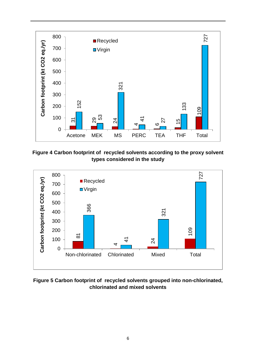

**Figure 4 Carbon footprint of recycled solvents according to the proxy solvent types considered in the study**



**Figure 5 Carbon footprint of recycled solvents grouped into non-chlorinated, chlorinated and mixed solvents**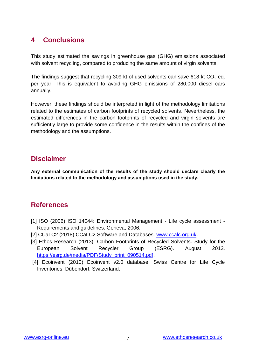### **4 Conclusions**

This study estimated the savings in greenhouse gas (GHG) emissions associated with solvent recycling, compared to producing the same amount of virgin solvents.

The findings suggest that recycling 309 kt of used solvents can save 618 kt  $CO<sub>2</sub>$  eq. per year. This is equivalent to avoiding GHG emissions of 280,000 diesel cars annually.

However, these findings should be interpreted in light of the methodology limitations related to the estimates of carbon footprints of recycled solvents. Nevertheless, the estimated differences in the carbon footprints of recycled and virgin solvents are sufficiently large to provide some confidence in the results within the confines of the methodology and the assumptions.

### **Disclaimer**

**Any external communication of the results of the study should declare clearly the limitations related to the methodology and assumptions used in the study.**

### **References**

- [1] ISO (2006) ISO 14044: Environmental Management Life cycle assessment Requirements and guidelines. Geneva, 2006.
- [2] CCaLC2 (2018) CCaLC2 Software and Databases. [www.ccalc.org.uk.](http://www.ccalc.org.uk/)
- [3] Ethos Research (2013). Carbon Footprints of Recycled Solvents. Study for the European Solvent Recycler Group (ESRG). August 2013. [https://esrg.de/media/PDF/Study\\_print\\_090514.pdf.](https://esrg.de/media/PDF/Study_print_090514.pdf)
- [4] Ecoinvent (2010) Ecoinvent v2.0 database. Swiss Centre for Life Cycle Inventories, Dübendorf, Switzerland.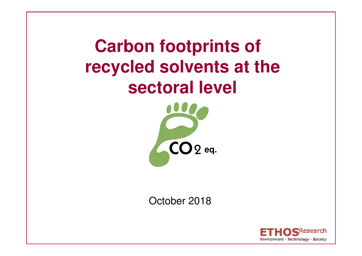**Carbon footprints of recycled solvents at the sectoral level** 



October 2018

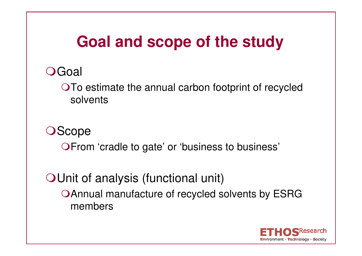# **Goal and scope of the study**

## **O**Goal

To estimate the annual carbon footprint of recycled solvents

## **OScope**

OFrom 'cradle to gate' or 'business to business'

OUnit of analysis (functional unit) Annual manufacture of recycled solvents by ESRG members

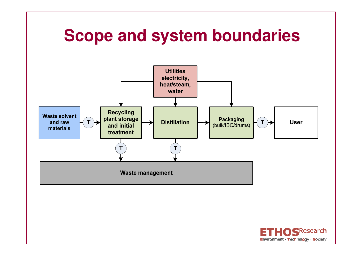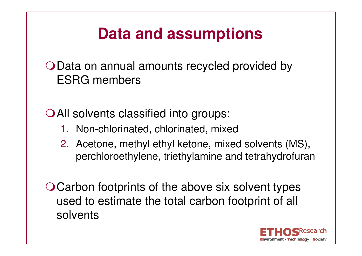# **Data and assumptions**

O Data on annual amounts recycled provided by ESRG members

O All solvents classified into groups:

- 1. Non-chlorinated, chlorinated, mixed
- 2. Acetone, methyl ethyl ketone, mixed solvents (MS), perchloroethylene, triethylamine and tetrahydrofuran

O Carbon footprints of the above six solvent types used to estimate the total carbon footprint of all solvents

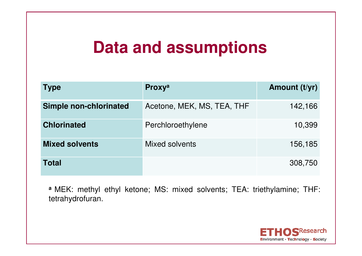# **Data and assumptions**

| <b>Type</b>                   | <b>Proxy</b> <sup>a</sup>  | Amount (t/yr) |
|-------------------------------|----------------------------|---------------|
| <b>Simple non-chlorinated</b> | Acetone, MEK, MS, TEA, THF | 142,166       |
| <b>Chlorinated</b>            | Perchloroethylene          | 10,399        |
| <b>Mixed solvents</b>         | Mixed solvents             | 156,185       |
| <b>Total</b>                  |                            | 308,750       |

**a** MEK: methyl ethyl ketone; MS: mixed solvents; TEA: triethylamine; THF: tetrahydrofuran.

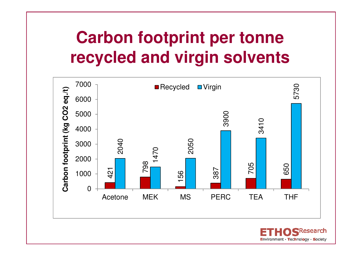# **Carbon footprint per tonne recycled and virgin solvents**

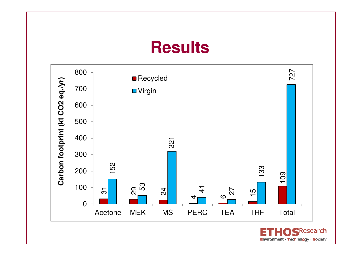## **Results**

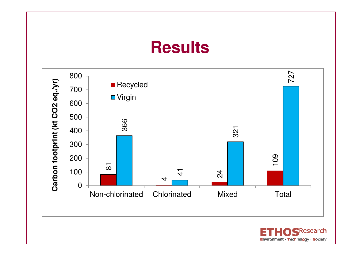## **Results**

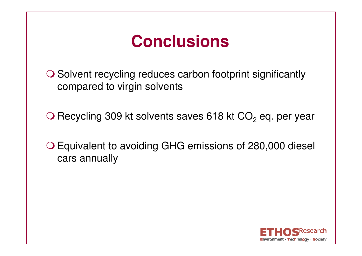# **Conclusions**

O Solvent recycling reduces carbon footprint significantly<br>compared to virgin solvents compared to virgin solvents

O Recycling 309 kt solvents saves 618 kt  $CO<sub>2</sub>$  eq. per year

 Equivalent to avoiding GHG emissions of 280,000 diesel cars annually